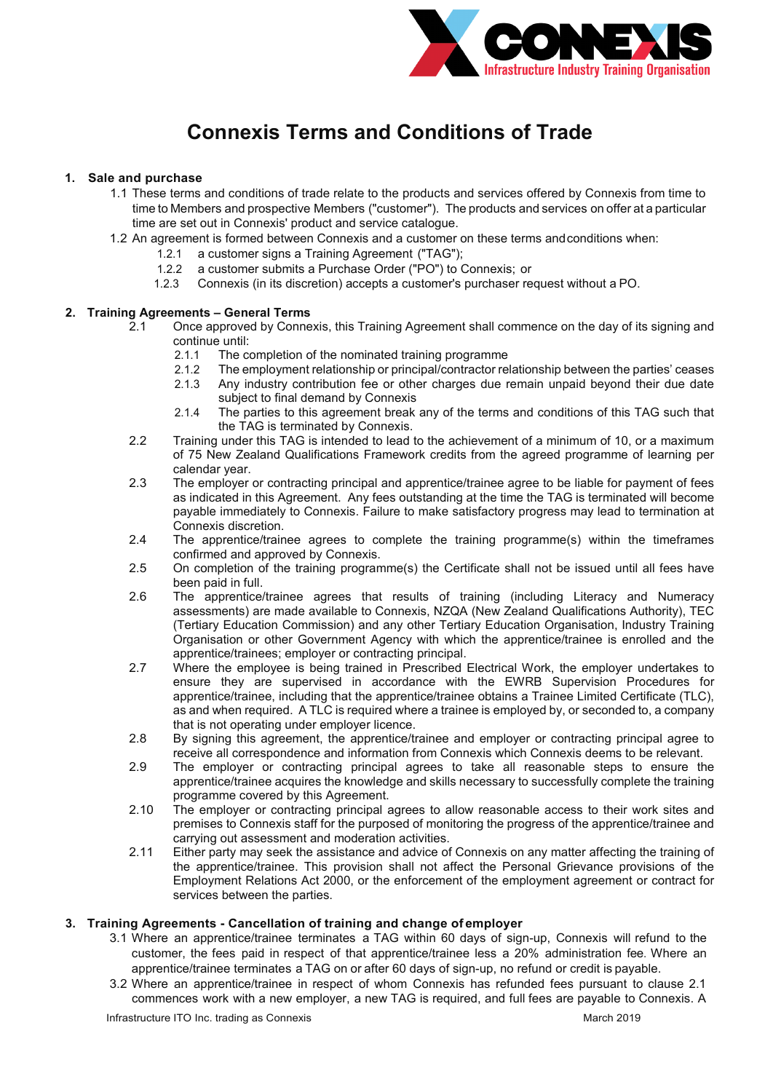

# **Connexis Terms and Conditions of Trade**

# **1. Sale and purchase**

- 1.1 These terms and conditions of trade relate to the products and services offered by Connexis from time to time to Members and prospective Members ("customer"). The products and services on offer at a particular time are set out in Connexis' product and service catalogue.
- 1.2 An agreement is formed between Connexis and a customer on these terms andconditions when:
	- 1.2.1 a customer signs a Training Agreement ("TAG");
	- 1.2.2 a customer submits a Purchase Order ("PO") to Connexis; or
	- 1.2.3 Connexis (in its discretion) accepts a customer's purchaser request without a PO.

# **2. Training Agreements – General Terms**

- 2.1 Once approved by Connexis, this Training Agreement shall commence on the day of its signing and continue until:
	- 2.1.1 The completion of the nominated training programme<br>2.1.2 The employment relationship or principal/contractor rel
	- 2.1.2 The employment relationship or principal/contractor relationship between the parties' ceases<br>2.1.3 Any industry contribution fee or other charges due remain unpaid beyond their due date
	- Any industry contribution fee or other charges due remain unpaid beyond their due date subject to final demand by Connexis
	- 2.1.4 The parties to this agreement break any of the terms and conditions of this TAG such that the TAG is terminated by Connexis.
- 2.2 Training under this TAG is intended to lead to the achievement of a minimum of 10, or a maximum of 75 New Zealand Qualifications Framework credits from the agreed programme of learning per calendar year.
- 2.3 The employer or contracting principal and apprentice/trainee agree to be liable for payment of fees as indicated in this Agreement. Any fees outstanding at the time the TAG is terminated will become payable immediately to Connexis. Failure to make satisfactory progress may lead to termination at Connexis discretion.
- 2.4 The apprentice/trainee agrees to complete the training programme(s) within the timeframes confirmed and approved by Connexis.
- 2.5 On completion of the training programme(s) the Certificate shall not be issued until all fees have been paid in full.
- 2.6 The apprentice/trainee agrees that results of training (including Literacy and Numeracy assessments) are made available to Connexis, NZQA (New Zealand Qualifications Authority), TEC (Tertiary Education Commission) and any other Tertiary Education Organisation, Industry Training Organisation or other Government Agency with which the apprentice/trainee is enrolled and the apprentice/trainees; employer or contracting principal.
- 2.7 Where the employee is being trained in Prescribed Electrical Work, the employer undertakes to ensure they are supervised in accordance with the EWRB Supervision Procedures for apprentice/trainee, including that the apprentice/trainee obtains a Trainee Limited Certificate (TLC), as and when required. A TLC is required where a trainee is employed by, or seconded to, a company that is not operating under employer licence.
- 2.8 By signing this agreement, the apprentice/trainee and employer or contracting principal agree to receive all correspondence and information from Connexis which Connexis deems to be relevant.
- 2.9 The employer or contracting principal agrees to take all reasonable steps to ensure the apprentice/trainee acquires the knowledge and skills necessary to successfully complete the training programme covered by this Agreement.
- 2.10 The employer or contracting principal agrees to allow reasonable access to their work sites and premises to Connexis staff for the purposed of monitoring the progress of the apprentice/trainee and carrying out assessment and moderation activities.
- 2.11 Either party may seek the assistance and advice of Connexis on any matter affecting the training of the apprentice/trainee. This provision shall not affect the Personal Grievance provisions of the Employment Relations Act 2000, or the enforcement of the employment agreement or contract for services between the parties.

# **3. Training Agreements - Cancellation of training and change of employer**

- 3.1 Where an apprentice/trainee terminates a TAG within 60 days of sign-up, Connexis will refund to the customer, the fees paid in respect of that apprentice/trainee less a 20% administration fee. Where an apprentice/trainee terminates a TAG on or after 60 days of sign-up, no refund or credit is payable.
- 3.2 Where an apprentice/trainee in respect of whom Connexis has refunded fees pursuant to clause 2.1 commences work with a new employer, a new TAG is required, and full fees are payable to Connexis. A

Infrastructure ITO Inc. trading as Connexis March 2019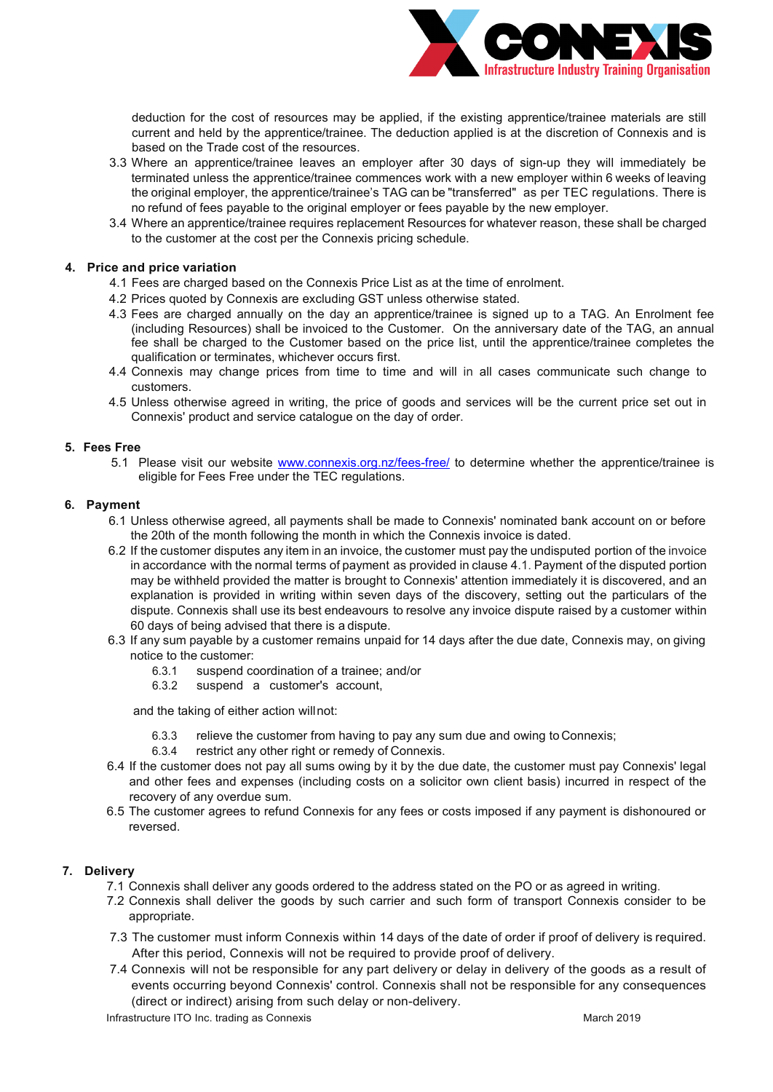

deduction for the cost of resources may be applied, if the existing apprentice/trainee materials are still current and held by the apprentice/trainee. The deduction applied is at the discretion of Connexis and is based on the Trade cost of the resources.

- 3.3 Where an apprentice/trainee leaves an employer after 30 days of sign-up they will immediately be terminated unless the apprentice/trainee commences work with a new employer within 6 weeks of leaving the original employer, the apprentice/trainee's TAG can be "transferred" as per TEC regulations. There is no refund of fees payable to the original employer or fees payable by the new employer.
- 3.4 Where an apprentice/trainee requires replacement Resources for whatever reason, these shall be charged to the customer at the cost per the Connexis pricing schedule.

# **4. Price and price variation**

- 4.1 Fees are charged based on the Connexis Price List as at the time of enrolment.
- 4.2 Prices quoted by Connexis are excluding GST unless otherwise stated.
- 4.3 Fees are charged annually on the day an apprentice/trainee is signed up to a TAG. An Enrolment fee (including Resources) shall be invoiced to the Customer. On the anniversary date of the TAG, an annual fee shall be charged to the Customer based on the price list, until the apprentice/trainee completes the qualification or terminates, whichever occurs first.
- 4.4 Connexis may change prices from time to time and will in all cases communicate such change to customers.
- 4.5 Unless otherwise agreed in writing, the price of goods and services will be the current price set out in Connexis' product and service catalogue on the day of order.

#### **5. Fees Free**

5.1 Please visit our website [www.connexis.org.nz/fees-free/](http://www.connexis.org.nz/fees-free/) to determine whether the apprentice/trainee is eligible for Fees Free under the TEC regulations.

#### **6. Payment**

- 6.1 Unless otherwise agreed, all payments shall be made to Connexis' nominated bank account on or before the 20th of the month following the month in which the Connexis invoice is dated.
- 6.2 If the customer disputes any item in an invoice, the customer must pay the undisputed portion of the invoice in accordance with the normal terms of payment as provided in clause 4.1. Payment of the disputed portion may be withheld provided the matter is brought to Connexis' attention immediately it is discovered, and an explanation is provided in writing within seven days of the discovery, setting out the particulars of the dispute. Connexis shall use its best endeavours to resolve any invoice dispute raised by a customer within 60 days of being advised that there is a dispute.
- 6.3 If any sum payable by a customer remains unpaid for 14 days after the due date, Connexis may, on giving notice to the customer:
	- 6.3.1 suspend coordination of a trainee; and/or
	- 6.3.2 suspend a customer's account,

and the taking of either action willnot:

- 6.3.3 relieve the customer from having to pay any sum due and owing to Connexis;
- 6.3.4 restrict any other right or remedy of Connexis.
- 6.4 If the customer does not pay all sums owing by it by the due date, the customer must pay Connexis' legal and other fees and expenses (including costs on a solicitor own client basis) incurred in respect of the recovery of any overdue sum.
- 6.5 The customer agrees to refund Connexis for any fees or costs imposed if any payment is dishonoured or reversed.

# **7. Delivery**

- 7.1 Connexis shall deliver any goods ordered to the address stated on the PO or as agreed in writing.
- 7.2 Connexis shall deliver the goods by such carrier and such form of transport Connexis consider to be appropriate.
- 7.3 The customer must inform Connexis within 14 days of the date of order if proof of delivery is required. After this period, Connexis will not be required to provide proof of delivery.
- 7.4 Connexis will not be responsible for any part delivery or delay in delivery of the goods as a result of events occurring beyond Connexis' control. Connexis shall not be responsible for any consequences (direct or indirect) arising from such delay or non-delivery.

Infrastructure ITO Inc. trading as Connexis March 2019